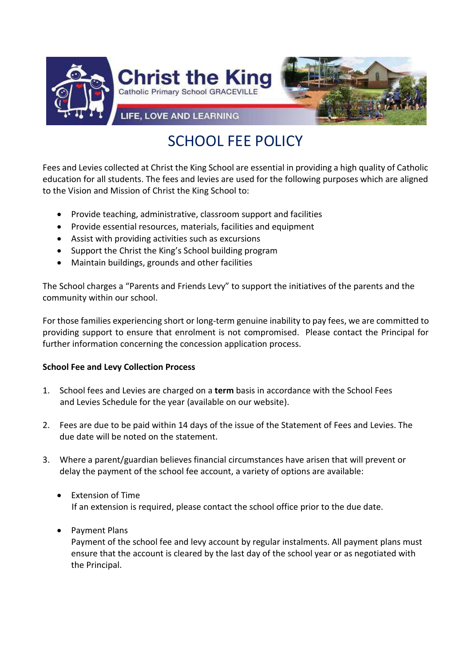

# SCHOOL FEE POLICY

Fees and Levies collected at Christ the King School are essential in providing a high quality of Catholic education for all students. The fees and levies are used for the following purposes which are aligned to the Vision and Mission of Christ the King School to:

- Provide teaching, administrative, classroom support and facilities
- Provide essential resources, materials, facilities and equipment
- Assist with providing activities such as excursions
- Support the Christ the King's School building program
- Maintain buildings, grounds and other facilities

The School charges a "Parents and Friends Levy" to support the initiatives of the parents and the community within our school.

For those families experiencing short or long-term genuine inability to pay fees, we are committed to providing support to ensure that enrolment is not compromised. Please contact the Principal for further information concerning the concession application process.

# **School Fee and Levy Collection Process**

- 1. School fees and Levies are charged on a **term** basis in accordance with the School Fees and Levies Schedule for the year (available on our website).
- 2. Fees are due to be paid within 14 days of the issue of the Statement of Fees and Levies. The due date will be noted on the statement.
- 3. Where a parent/guardian believes financial circumstances have arisen that will prevent or delay the payment of the school fee account, a variety of options are available:
	- Extension of Time If an extension is required, please contact the school office prior to the due date.
	- Payment Plans

Payment of the school fee and levy account by regular instalments. All payment plans must ensure that the account is cleared by the last day of the school year or as negotiated with the Principal.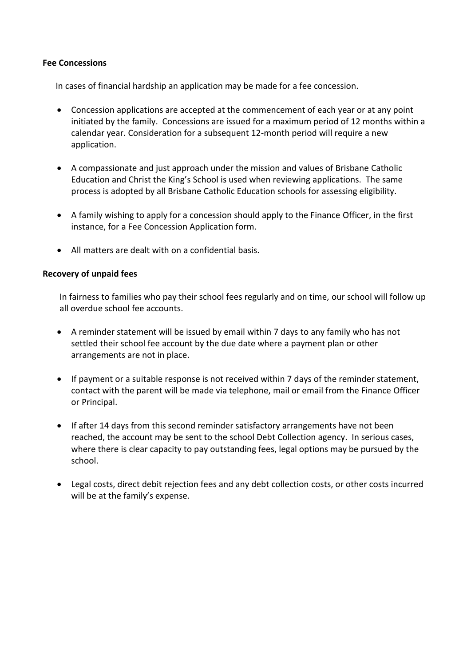#### **Fee Concessions**

In cases of financial hardship an application may be made for a fee concession.

- Concession applications are accepted at the commencement of each year or at any point initiated by the family. Concessions are issued for a maximum period of 12 months within a calendar year. Consideration for a subsequent 12-month period will require a new application.
- A compassionate and just approach under the mission and values of Brisbane Catholic Education and Christ the King's School is used when reviewing applications. The same process is adopted by all Brisbane Catholic Education schools for assessing eligibility.
- A family wishing to apply for a concession should apply to the Finance Officer, in the first instance, for a Fee Concession Application form.
- All matters are dealt with on a confidential basis.

#### **Recovery of unpaid fees**

In fairness to families who pay their school fees regularly and on time, our school will follow up all overdue school fee accounts.

- A reminder statement will be issued by email within 7 days to any family who has not settled their school fee account by the due date where a payment plan or other arrangements are not in place.
- If payment or a suitable response is not received within 7 days of the reminder statement, contact with the parent will be made via telephone, mail or email from the Finance Officer or Principal.
- If after 14 days from this second reminder satisfactory arrangements have not been reached, the account may be sent to the school Debt Collection agency. In serious cases, where there is clear capacity to pay outstanding fees, legal options may be pursued by the school.
- Legal costs, direct debit rejection fees and any debt collection costs, or other costs incurred will be at the family's expense.